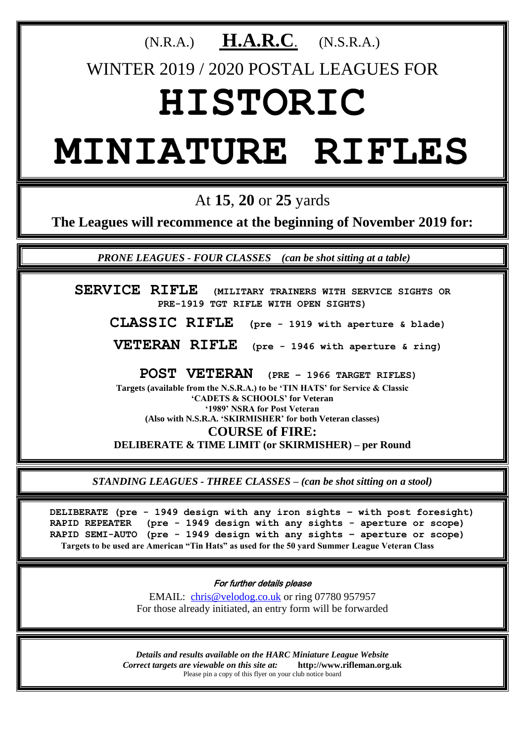### (N.R.A.) **H.A.R.C**. (N.S.R.A.)

WINTER 2019 / 2020 POSTAL LEAGUES FOR

## **HISTORIC**

# **MINIATURE RIFLES**

At **15**, **20** or **25** yards

**The Leagues will recommence at the beginning of November 2019 for:**

 *PRONE LEAGUES - FOUR CLASSES (can be shot sitting at a table)*

**SERVICE RIFLE (MILITARY TRAINERS WITH SERVICE SIGHTS OR PRE-1919 TGT RIFLE WITH OPEN SIGHTS)**

**CLASSIC RIFLE (pre - 1919 with aperture & blade)**

**VETERAN RIFLE (pre - 1946 with aperture & ring)**

**POST VETERAN (PRE – 1966 TARGET RIFLES)**

**Targets (available from the N.S.R.A.) to be 'TIN HATS' for Service & Classic 'CADETS & SCHOOLS' for Veteran '1989' NSRA for Post Veteran (Also with N.S.R.A. 'SKIRMISHER' for both Veteran classes) COURSE of FIRE:**

**DELIBERATE & TIME LIMIT (or SKIRMISHER) – per Round**

*STANDING LEAGUES - THREE CLASSES – (can be shot sitting on a stool)*

**DELIBERATE (pre - 1949 design with any iron sights – with post foresight) RAPID REPEATER (pre - 1949 design with any sights - aperture or scope) RAPID SEMI-AUTO (pre - 1949 design with any sights – aperture or scope) Targets to be used are American "Tin Hats" as used for the 50 yard Summer League Veteran Class**

For further details please

EMAIL: [chris@velodog.co.uk](mailto:chris@velodog.co.uk) or ring 07780 957957 For those already initiated, an entry form will be forwarded

*Details and results available on the HARC Miniature League Website Correct targets are viewable on this site at:* **http://www.rifleman.org.uk** Please pin a copy of this flyer on your club notice board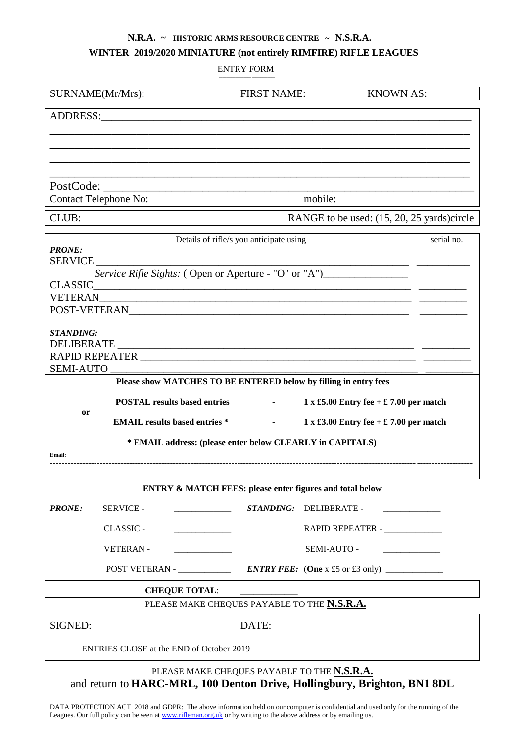#### **N.R.A. ~ HISTORIC ARMS RESOURCE CENTRE ~ N.S.R.A.**

#### **WINTER 2019/2020 MINIATURE (not entirely RIMFIRE) RIFLE LEAGUES**

ENTRY FORM

| SURNAME(Mr/Mrs):                                                                       | <b>FIRST NAME:</b>                                                                | <b>KNOWN AS:</b>                               |
|----------------------------------------------------------------------------------------|-----------------------------------------------------------------------------------|------------------------------------------------|
| ADDRESS: ADDRESS:                                                                      |                                                                                   |                                                |
|                                                                                        |                                                                                   |                                                |
|                                                                                        |                                                                                   |                                                |
|                                                                                        |                                                                                   |                                                |
|                                                                                        |                                                                                   |                                                |
| <b>Contact Telephone No:</b>                                                           | mobile:                                                                           |                                                |
| CLUB:                                                                                  |                                                                                   | RANGE to be used: (15, 20, 25 yards)circle     |
| Details of rifle/s you anticipate using<br>serial no.                                  |                                                                                   |                                                |
| <b>PRONE:</b><br><b>SERVICE</b>                                                        |                                                                                   |                                                |
|                                                                                        | Service Rifle Sights: (Open or Aperture - "O" or "A")____________________________ |                                                |
| <b>CLASSIC</b>                                                                         |                                                                                   |                                                |
|                                                                                        |                                                                                   |                                                |
|                                                                                        |                                                                                   |                                                |
| <b>STANDING:</b>                                                                       |                                                                                   |                                                |
|                                                                                        |                                                                                   |                                                |
| <b>SEMI-AUTO</b>                                                                       |                                                                                   |                                                |
|                                                                                        | Please show MATCHES TO BE ENTERED below by filling in entry fees                  |                                                |
| <b>POSTAL results based entries</b><br>or                                              |                                                                                   | 1 x £5.00 Entry fee + $\pounds$ 7.00 per match |
| 1 x £3.00 Entry fee + $\pounds$ 7.00 per match<br><b>EMAIL</b> results based entries * |                                                                                   |                                                |
| * EMAIL address: (please enter below CLEARLY in CAPITALS)                              |                                                                                   |                                                |
| <b>Email:</b>                                                                          |                                                                                   |                                                |
| <b>ENTRY &amp; MATCH FEES: please enter figures and total below</b>                    |                                                                                   |                                                |
| <b>PRONE:</b><br><b>SERVICE -</b>                                                      | <b>STANDING:</b><br><b>DELIBERATE -</b>                                           | <b>Contract Contract Contract Contract</b>     |
| CLASSIC -<br><u> 1989 - Johann Barbara, martin a</u>                                   |                                                                                   | RAPID REPEATER - ______________                |
| <b>VETERAN-</b>                                                                        | SEMI-AUTO -                                                                       |                                                |
|                                                                                        |                                                                                   |                                                |
| <b>CHEQUE TOTAL:</b>                                                                   |                                                                                   |                                                |
|                                                                                        | PLEASE MAKE CHEQUES PAYABLE TO THE N.S.R.A.                                       |                                                |
| SIGNED:                                                                                | DATE:                                                                             |                                                |
| ENTRIES CLOSE at the END of October 2019                                               |                                                                                   |                                                |
| and return to HARC-MRL, 100 Denton Drive, Hollingbury, Brighton, BN1 8DL               | PLEASE MAKE CHEQUES PAYABLE TO THE N.S.R.A.                                       |                                                |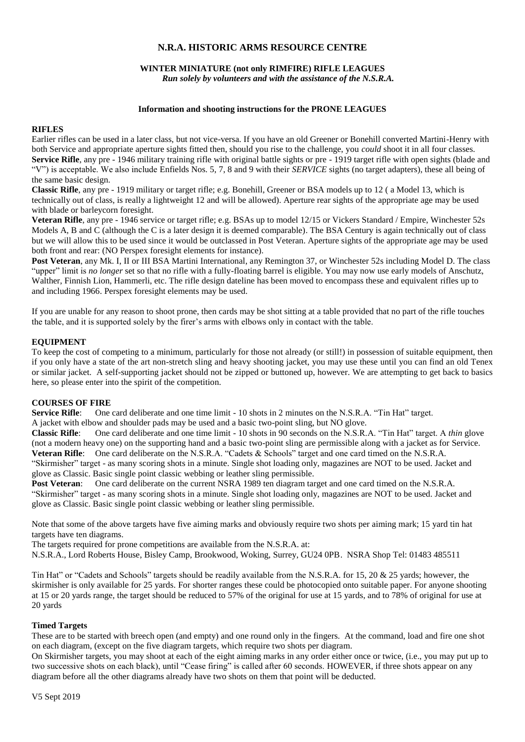#### **N.R.A. HISTORIC ARMS RESOURCE CENTRE**

#### **WINTER MINIATURE (not only RIMFIRE) RIFLE LEAGUES** *Run solely by volunteers and with the assistance of the N.S.R.A.*

#### **Information and shooting instructions for the PRONE LEAGUES**

#### **RIFLES**

Earlier rifles can be used in a later class, but not vice-versa. If you have an old Greener or Bonehill converted Martini-Henry with both Service and appropriate aperture sights fitted then, should you rise to the challenge, you *could* shoot it in all four classes. **Service Rifle**, any pre - 1946 military training rifle with original battle sights or pre - 1919 target rifle with open sights (blade and "V") is acceptable. We also include Enfields Nos. 5, 7, 8 and 9 with their *SERVICE* sights (no target adapters), these all being of the same basic design.

**Classic Rifle**, any pre - 1919 military or target rifle; e.g. Bonehill, Greener or BSA models up to 12 ( a Model 13, which is technically out of class, is really a lightweight 12 and will be allowed). Aperture rear sights of the appropriate age may be used with blade or barleycorn foresight.

**Veteran Rifle**, any pre - 1946 service or target rifle; e.g. BSAs up to model 12/15 or Vickers Standard / Empire, Winchester 52s Models A, B and C (although the C is a later design it is deemed comparable). The BSA Century is again technically out of class but we will allow this to be used since it would be outclassed in Post Veteran. Aperture sights of the appropriate age may be used both front and rear: (NO Perspex foresight elements for instance).

**Post Veteran**, any Mk. I, II or III BSA Martini International, any Remington 37, or Winchester 52s including Model D. The class "upper" limit is *no longer* set so that no rifle with a fully-floating barrel is eligible. You may now use early models of Anschutz, Walther, Finnish Lion, Hammerli, etc. The rifle design dateline has been moved to encompass these and equivalent rifles up to and including 1966. Perspex foresight elements may be used.

If you are unable for any reason to shoot prone, then cards may be shot sitting at a table provided that no part of the rifle touches the table, and it is supported solely by the firer's arms with elbows only in contact with the table.

#### **EQUIPMENT**

To keep the cost of competing to a minimum, particularly for those not already (or still!) in possession of suitable equipment, then if you only have a state of the art non-stretch sling and heavy shooting jacket, you may use these until you can find an old Tenex or similar jacket. A self-supporting jacket should not be zipped or buttoned up, however. We are attempting to get back to basics here, so please enter into the spirit of the competition.

#### **COURSES OF FIRE**

**Service Rifle:** One card deliberate and one time limit - 10 shots in 2 minutes on the N.S.R.A. "Tin Hat" target.

A jacket with elbow and shoulder pads may be used and a basic two-point sling, but NO glove.

**Classic Rifle**: One card deliberate and one time limit - 10 shots in 90 seconds on the N.S.R.A. "Tin Hat" target. A *thin* glove (not a modern heavy one) on the supporting hand and a basic two-point sling are permissible along with a jacket as for Service. **Veteran Rifle**: One card deliberate on the N.S.R.A. "Cadets & Schools" target and one card timed on the N.S.R.A.

"Skirmisher" target - as many scoring shots in a minute. Single shot loading only, magazines are NOT to be used. Jacket and glove as Classic. Basic single point classic webbing or leather sling permissible.

**Post Veteran**: One card deliberate on the current NSRA 1989 ten diagram target and one card timed on the N.S.R.A. "Skirmisher" target - as many scoring shots in a minute. Single shot loading only, magazines are NOT to be used. Jacket and glove as Classic. Basic single point classic webbing or leather sling permissible.

Note that some of the above targets have five aiming marks and obviously require two shots per aiming mark; 15 yard tin hat targets have ten diagrams.

The targets required for prone competitions are available from the N.S.R.A. at:

N.S.R.A., Lord Roberts House, Bisley Camp, Brookwood, Woking, Surrey, GU24 0PB. NSRA Shop Tel: 01483 485511

Tin Hat" or "Cadets and Schools" targets should be readily available from the N.S.R.A. for 15, 20 & 25 yards; however, the skirmisher is only available for 25 yards. For shorter ranges these could be photocopied onto suitable paper. For anyone shooting at 15 or 20 yards range, the target should be reduced to 57% of the original for use at 15 yards, and to 78% of original for use at 20 yards

#### **Timed Targets**

These are to be started with breech open (and empty) and one round only in the fingers. At the command, load and fire one shot on each diagram, (except on the five diagram targets, which require two shots per diagram.

On Skirmisher targets, you may shoot at each of the eight aiming marks in any order either once or twice, (i.e., you may put up to two successive shots on each black), until "Cease firing" is called after 60 seconds. HOWEVER, if three shots appear on any diagram before all the other diagrams already have two shots on them that point will be deducted.